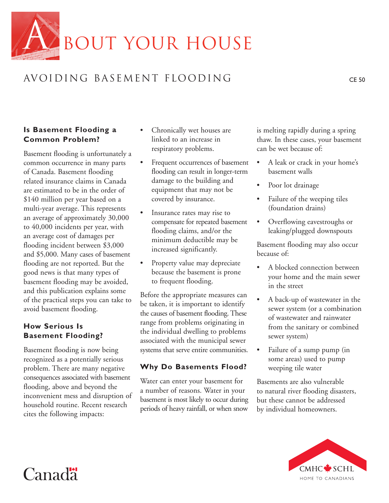

# AVOIDING BASEMENT FLOODING CE 50

### **Is Basement Flooding a Common Problem?**

Basement flooding is unfortunately a common occurrence in many parts of Canada. Basement flooding related insurance claims in Canada are estimated to be in the order of \$140 million per year based on a multi-year average. This represents an average of approximately 30,000 to 40,000 incidents per year, with an average cost of damages per flooding incident between \$3,000 and \$5,000. Many cases of basement flooding are not reported. But the good news is that many types of basement flooding may be avoided, and this publication explains some of the practical steps you can take to avoid basement flooding.

# **How Serious Is Basement Flooding?**

Basement flooding is now being recognized as a potentially serious problem. There are many negative consequences associated with basement flooding, above and beyond the inconvenient mess and disruption of household routine. Recent research cites the following impacts:

- Chronically wet houses are linked to an increase in respiratory problems.
- Frequent occurrences of basement flooding can result in longer-term damage to the building and equipment that may not be covered by insurance.
- Insurance rates may rise to compensate for repeated basement flooding claims, and/or the minimum deductible may be increased significantly.
- Property value may depreciate because the basement is prone to frequent flooding.

Before the appropriate measures can be taken, it is important to identify the causes of basement flooding. These range from problems originating in the individual dwelling to problems associated with the municipal sewer systems that serve entire communities.

## **Why Do Basements Flood?**

Water can enter your basement for a number of reasons. Water in your basement is most likely to occur during periods of heavy rainfall, or when snow

is melting rapidly during a spring thaw. In these cases, your basement can be wet because of:

- A leak or crack in your home's basement walls
- Poor lot drainage
- Failure of the weeping tiles (foundation drains)
- Overflowing eavestroughs or leaking/plugged downspouts

Basement flooding may also occur because of:

- A blocked connection between your home and the main sewer in the street
- A back-up of wastewater in the sewer system (or a combination of wastewater and rainwater from the sanitary or combined sewer system)
- Failure of a sump pump (in some areas) used to pump weeping tile water

Basements are also vulnerable to natural river flooding disasters, but these cannot be addressed by individual homeowners.



# Canad<sup>"</sup>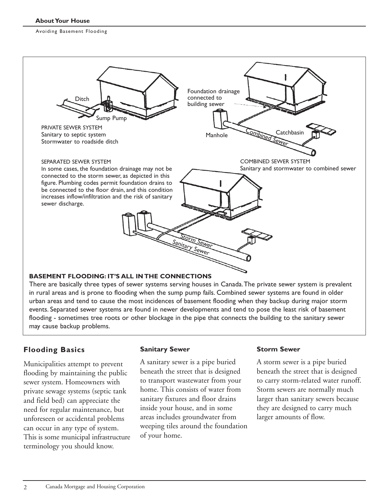

in rural areas and is prone to flooding when the sump pump fails. Combined sewer systems are found in older urban areas and tend to cause the most incidences of basement flooding when they backup during major storm events. Separated sewer systems are found in newer developments and tend to pose the least risk of basement flooding - sometimes tree roots or other blockage in the pipe that connects the building to the sanitary sewer may cause backup problems.

# **Flooding Basics**

Municipalities attempt to prevent flooding by maintaining the public sewer system. Homeowners with private sewage systems (septic tank and field bed) can appreciate the need for regular maintenance, but unforeseen or accidental problems can occur in any type of system. This is some municipal infrastructure terminology you should know.

#### **Sanitary Sewer**

A sanitary sewer is a pipe buried beneath the street that is designed to transport wastewater from your home. This consists of water from sanitary fixtures and floor drains inside your house, and in some areas includes groundwater from weeping tiles around the foundation of your home.

#### **Storm Sewer**

A storm sewer is a pipe buried beneath the street that is designed to carry storm-related water runoff. Storm sewers are normally much larger than sanitary sewers because they are designed to carry much larger amounts of flow.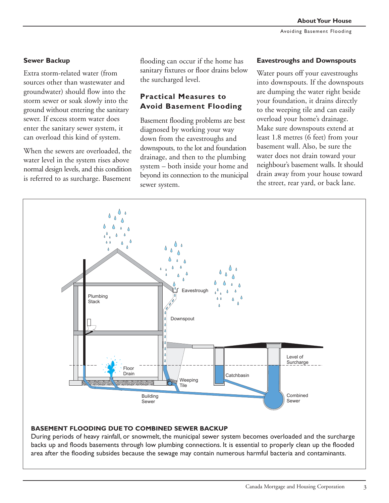#### **Sewer Backup**

Extra storm-related water (from sources other than wastewater and groundwater) should flow into the storm sewer or soak slowly into the ground without entering the sanitary sewer. If excess storm water does enter the sanitary sewer system, it can overload this kind of system.

When the sewers are overloaded, the water level in the system rises above normal design levels, and this condition is referred to as surcharge. Basement

flooding can occur if the home has sanitary fixtures or floor drains below the surcharged level.

# **Practical Measures to Avoid Basement Flooding**

Basement flooding problems are best diagnosed by working your way down from the eavestroughs and downspouts, to the lot and foundation drainage, and then to the plumbing system – both inside your home and beyond its connection to the municipal sewer system.

#### **Eavestroughs and Downspouts**

Water pours off your eavestroughs into downspouts. If the downspouts are dumping the water right beside your foundation, it drains directly to the weeping tile and can easily overload your home's drainage. Make sure downspouts extend at least 1.8 metres (6 feet) from your basement wall. Also, be sure the water does not drain toward your neighbour's basement walls. It should drain away from your house toward the street, rear yard, or back lane.



#### **BASEMENT FLOODING DUE TO COMBINED SEWER BACKUP**

During periods of heavy rainfall, or snowmelt, the municipal sewer system becomes overloaded and the surcharge backs up and floods basements through low plumbing connections. It is essential to properly clean up the flooded area after the flooding subsides because the sewage may contain numerous harmful bacteria and contaminants.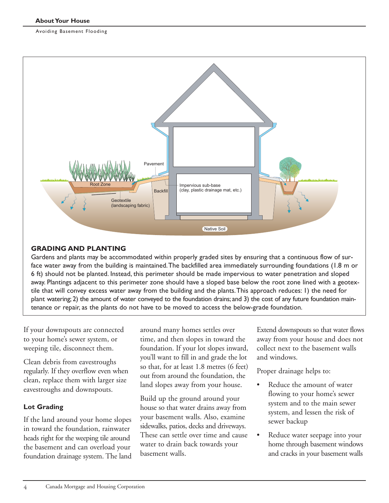

#### **GRADING AND PLANTING**

Gardens and plants may be accommodated within properly graded sites by ensuring that a continuous flow of surface water away from the building is maintained.The backfilled area immediately surrounding foundations (1.8 m or 6 ft) should not be planted. Instead, this perimeter should be made impervious to water penetration and sloped away. Plantings adjacent to this perimeter zone should have a sloped base below the root zone lined with a geotextile that will convey excess water away from the building and the plants.This approach reduces: 1) the need for plant watering; 2) the amount of water conveyed to the foundation drains; and 3) the cost of any future foundation maintenance or repair, as the plants do not have to be moved to access the below-grade foundation.

If your downspouts are connected to your home's sewer system, or weeping tile, disconnect them.

Clean debris from eavestroughs regularly. If they overflow even when clean, replace them with larger size eavestroughs and downspouts.

#### **Lot Grading**

4

If the land around your home slopes in toward the foundation, rainwater heads right for the weeping tile around the basement and can overload your foundation drainage system. The land around many homes settles over time, and then slopes in toward the foundation. If your lot slopes inward, you'll want to fill in and grade the lot so that, for at least 1.8 metres (6 feet) out from around the foundation, the land slopes away from your house.

Build up the ground around your house so that water drains away from your basement walls. Also, examine sidewalks, patios, decks and driveways. These can settle over time and cause water to drain back towards your basement walls.

Extend downspouts so that water flows away from your house and does not collect next to the basement walls and windows.

Proper drainage helps to:

- Reduce the amount of water flowing to your home's sewer system and to the main sewer system, and lessen the risk of sewer backup
- Reduce water seepage into your home through basement windows and cracks in your basement walls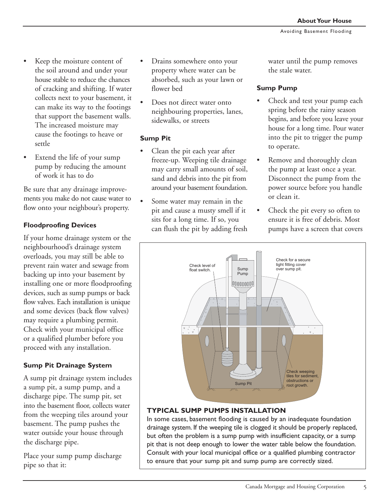- Keep the moisture content of the soil around and under your house stable to reduce the chances of cracking and shifting. If water collects next to your basement, it can make its way to the footings that support the basement walls. The increased moisture may cause the footings to heave or settle
- Extend the life of your sump pump by reducing the amount of work it has to do

Be sure that any drainage improvements you make do not cause water to flow onto your neighbour's property.

#### **Floodproofing Devices**

If your home drainage system or the neighbourhood's drainage system overloads, you may still be able to prevent rain water and sewage from backing up into your basement by installing one or more floodproofing devices, such as sump pumps or back flow valves. Each installation is unique and some devices (back flow valves) may require a plumbing permit. Check with your municipal office or a qualified plumber before you proceed with any installation.

#### **Sump Pit Drainage System**

A sump pit drainage system includes a sump pit, a sump pump, and a discharge pipe. The sump pit, set into the basement floor, collects water from the weeping tiles around your basement. The pump pushes the water outside your house through the discharge pipe.

Place your sump pump discharge pipe so that it:

- Drains somewhere onto your property where water can be absorbed, such as your lawn or flower bed
- Does not direct water onto neighbouring properties, lanes, sidewalks, or streets

#### **Sump Pit**

- Clean the pit each year after freeze-up. Weeping tile drainage may carry small amounts of soil, sand and debris into the pit from around your basement foundation.
- Some water may remain in the pit and cause a musty smell if it sits for a long time. If so, you can flush the pit by adding fresh

water until the pump removes the stale water.

#### **Sump Pump**

- Check and test your pump each spring before the rainy season begins, and before you leave your house for a long time. Pour water into the pit to trigger the pump to operate.
- Remove and thoroughly clean the pump at least once a year. Disconnect the pump from the power source before you handle or clean it.
- Check the pit every so often to ensure it is free of debris. Most pumps have a screen that covers



#### **TYPICAL SUMP PUMPS INSTALLATION**

In some cases, basement flooding is caused by an inadequate foundation drainage system. If the weeping tile is clogged it should be properly replaced, but often the problem is a sump pump with insufficient capacity, or a sump pit that is not deep enough to lower the water table below the foundation. Consult with your local municipal office or a qualified plumbing contractor to ensure that your sump pit and sump pump are correctly sized.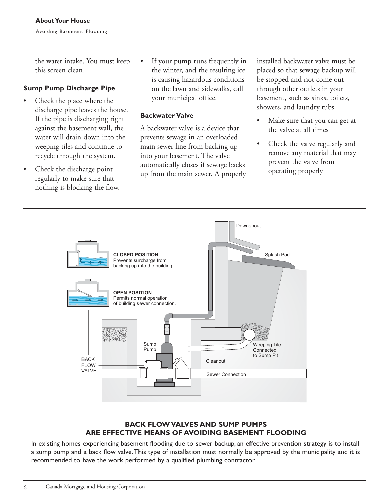the water intake. You must keep this screen clean.

#### **Sump Pump Discharge Pipe**

- Check the place where the discharge pipe leaves the house. If the pipe is discharging right against the basement wall, the water will drain down into the weeping tiles and continue to recycle through the system.
- Check the discharge point regularly to make sure that nothing is blocking the flow.

If your pump runs frequently in the winter, and the resulting ice is causing hazardous conditions on the lawn and sidewalks, call your municipal office.

#### **Backwater Valve**

A backwater valve is a device that prevents sewage in an overloaded main sewer line from backing up into your basement. The valve automatically closes if sewage backs up from the main sewer. A properly installed backwater valve must be placed so that sewage backup will be stopped and not come out through other outlets in your basement, such as sinks, toilets, showers, and laundry tubs.

- Make sure that you can get at the valve at all times
- Check the valve regularly and remove any material that may prevent the valve from operating properly



a sump pump and a back flow valve.This type of installation must normally be approved by the municipality and it is recommended to have the work performed by a qualified plumbing contractor.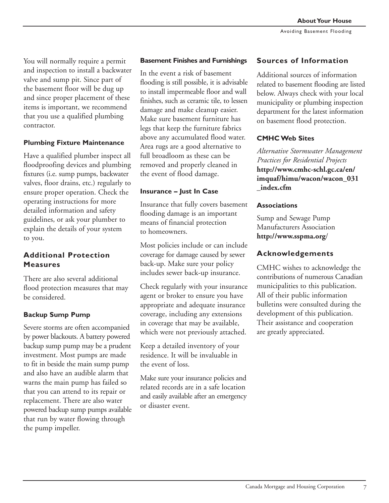You will normally require a permit and inspection to install a backwater valve and sump pit. Since part of the basement floor will be dug up and since proper placement of these items is important, we recommend that you use a qualified plumbing contractor.

#### **Plumbing Fixture Maintenance**

Have a qualified plumber inspect all floodproofing devices and plumbing fixtures (i.e. sump pumps, backwater valves, floor drains, etc.) regularly to ensure proper operation. Check the operating instructions for more detailed information and safety guidelines, or ask your plumber to explain the details of your system to you.

# **Additional Protection Measures**

There are also several additional flood protection measures that may be considered.

#### **Backup Sump Pump**

Severe storms are often accompanied by power blackouts. A battery powered backup sump pump may be a prudent investment. Most pumps are made to fit in beside the main sump pump and also have an audible alarm that warns the main pump has failed so that you can attend to its repair or replacement. There are also water powered backup sump pumps available that run by water flowing through the pump impeller.

#### **Basement Finishes and Furnishings**

In the event a risk of basement flooding is still possible, it is advisable to install impermeable floor and wall finishes, such as ceramic tile, to lessen damage and make cleanup easier. Make sure basement furniture has legs that keep the furniture fabrics above any accumulated flood water. Area rugs are a good alternative to full broadloom as these can be removed and properly cleaned in the event of flood damage.

#### **Insurance – Just In Case**

Insurance that fully covers basement flooding damage is an important means of financial protection to homeowners.

Most policies include or can include coverage for damage caused by sewer back-up. Make sure your policy includes sewer back-up insurance.

Check regularly with your insurance agent or broker to ensure you have appropriate and adequate insurance coverage, including any extensions in coverage that may be available, which were not previously attached.

Keep a detailed inventory of your residence. It will be invaluable in the event of loss.

Make sure your insurance policies and related records are in a safe location and easily available after an emergency or disaster event.

#### **Sources of Information**

Additional sources of information related to basement flooding are listed below. Always check with your local municipality or plumbing inspection department for the latest information on basement flood protection.

#### **CMHC Web Sites**

*Alternative Stormwater Management Practices for Residential Projects* **http://www.cmhc-schl.gc.ca/en/ imquaf/himu/wacon/wacon\_031 \_index.cfm**

#### **Associations**

Sump and Sewage Pump Manufacturers Association **http://www.sspma.org**/

#### **Acknowledgements**

CMHC wishes to acknowledge the contributions of numerous Canadian municipalities to this publication. All of their public information bulletins were consulted during the development of this publication. Their assistance and cooperation are greatly appreciated.